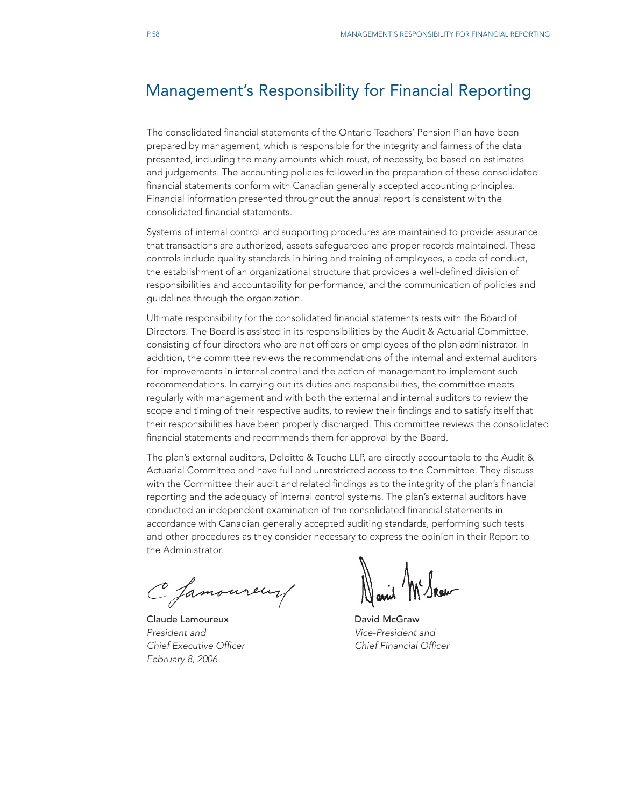# Management's Responsibility for Financial Reporting

The consolidated financial statements of the Ontario Teachers' Pension Plan have been prepared by management, which is responsible for the integrity and fairness of the data presented, including the many amounts which must, of necessity, be based on estimates and judgements. The accounting policies followed in the preparation of these consolidated financial statements conform with Canadian generally accepted accounting principles. Financial information presented throughout the annual report is consistent with the consolidated financial statements.

Systems of internal control and supporting procedures are maintained to provide assurance that transactions are authorized, assets safeguarded and proper records maintained. These controls include quality standards in hiring and training of employees, a code of conduct, the establishment of an organizational structure that provides a well-defined division of responsibilities and accountability for performance, and the communication of policies and guidelines through the organization.

Ultimate responsibility for the consolidated financial statements rests with the Board of Directors. The Board is assisted in its responsibilities by the Audit & Actuarial Committee, consisting of four directors who are not officers or employees of the plan administrator. In addition, the committee reviews the recommendations of the internal and external auditors for improvements in internal control and the action of management to implement such recommendations. In carrying out its duties and responsibilities, the committee meets regularly with management and with both the external and internal auditors to review the scope and timing of their respective audits, to review their findings and to satisfy itself that their responsibilities have been properly discharged. This committee reviews the consolidated financial statements and recommends them for approval by the Board.

The plan's external auditors, Deloitte & Touche LLP, are directly accountable to the Audit & Actuarial Committee and have full and unrestricted access to the Committee. They discuss with the Committee their audit and related findings as to the integrity of the plan's financial reporting and the adequacy of internal control systems. The plan's external auditors have conducted an independent examination of the consolidated financial statements in accordance with Canadian generally accepted auditing standards, performing such tests and other procedures as they consider necessary to express the opinion in their Report to the Administrator.

C famoureur/

Claude Lamoureux **David McGraw** *President and Vice-President and Chief Executive Officer Chief Financial Officer February 8, 2006*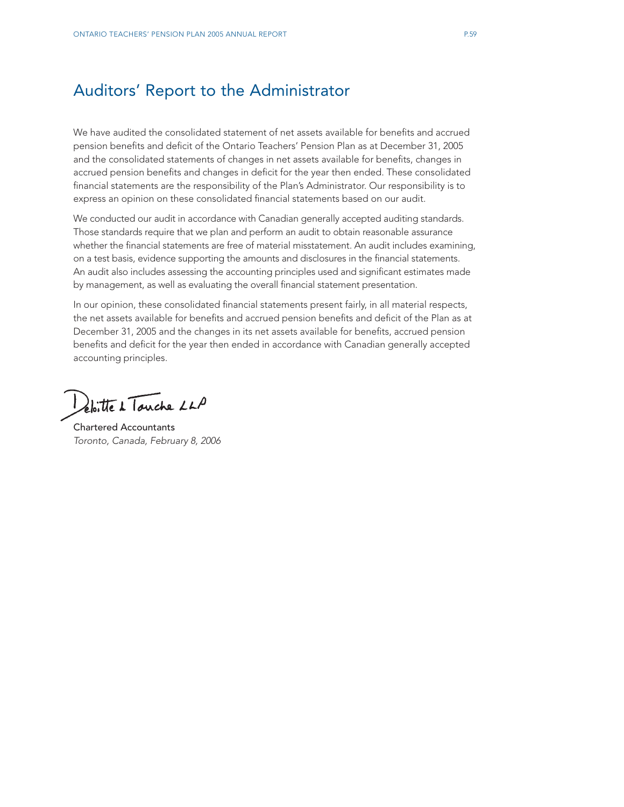# Auditors' Report to the Administrator

We have audited the consolidated statement of net assets available for benefits and accrued pension benefits and deficit of the Ontario Teachers' Pension Plan as at December 31, 2005 and the consolidated statements of changes in net assets available for benefits, changes in accrued pension benefits and changes in deficit for the year then ended. These consolidated financial statements are the responsibility of the Plan's Administrator. Our responsibility is to express an opinion on these consolidated financial statements based on our audit.

We conducted our audit in accordance with Canadian generally accepted auditing standards. Those standards require that we plan and perform an audit to obtain reasonable assurance whether the financial statements are free of material misstatement. An audit includes examining, on a test basis, evidence supporting the amounts and disclosures in the financial statements. An audit also includes assessing the accounting principles used and significant estimates made by management, as well as evaluating the overall financial statement presentation.

In our opinion, these consolidated financial statements present fairly, in all material respects, the net assets available for benefits and accrued pension benefits and deficit of the Plan as at December 31, 2005 and the changes in its net assets available for benefits, accrued pension benefits and deficit for the year then ended in accordance with Canadian generally accepted accounting principles.

Deloitte de Touche LLA

Chartered Accountants *Toronto, Canada, February 8, 2006*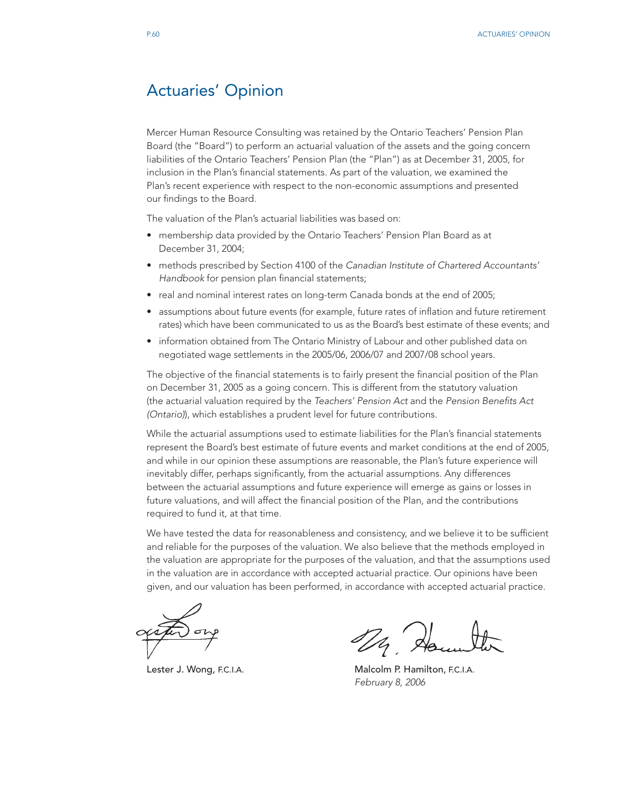# Actuaries' Opinion

Mercer Human Resource Consulting was retained by the Ontario Teachers' Pension Plan Board (the "Board") to perform an actuarial valuation of the assets and the going concern liabilities of the Ontario Teachers' Pension Plan (the "Plan") as at December 31, 2005, for inclusion in the Plan's financial statements. As part of the valuation, we examined the Plan's recent experience with respect to the non-economic assumptions and presented our findings to the Board.

The valuation of the Plan's actuarial liabilities was based on:

- membership data provided by the Ontario Teachers' Pension Plan Board as at December 31, 2004;
- methods prescribed by Section 4100 of the *Canadian Institute of Chartered Accountants' Handbook* for pension plan financial statements;
- real and nominal interest rates on long-term Canada bonds at the end of 2005;
- assumptions about future events (for example, future rates of inflation and future retirement rates) which have been communicated to us as the Board's best estimate of these events; and
- information obtained from The Ontario Ministry of Labour and other published data on negotiated wage settlements in the 2005/06, 2006/07 and 2007/08 school years.

The objective of the financial statements is to fairly present the financial position of the Plan on December 31, 2005 as a going concern. This is different from the statutory valuation (the actuarial valuation required by the *Teachers' Pension Act* and the *Pension Benefits Act (Ontario)*), which establishes a prudent level for future contributions.

While the actuarial assumptions used to estimate liabilities for the Plan's financial statements represent the Board's best estimate of future events and market conditions at the end of 2005, and while in our opinion these assumptions are reasonable, the Plan's future experience will inevitably differ, perhaps significantly, from the actuarial assumptions. Any differences between the actuarial assumptions and future experience will emerge as gains or losses in future valuations, and will affect the financial position of the Plan, and the contributions required to fund it, at that time.

We have tested the data for reasonableness and consistency, and we believe it to be sufficient and reliable for the purposes of the valuation. We also believe that the methods employed in the valuation are appropriate for the purposes of the valuation, and that the assumptions used in the valuation are in accordance with accepted actuarial practice. Our opinions have been given, and our valuation has been performed, in accordance with accepted actuarial practice.

Da Ha

Lester J. Wong, F.C.I.A. **Malcolm P. Hamilton, F.C.I.A.** *February 8, 2006*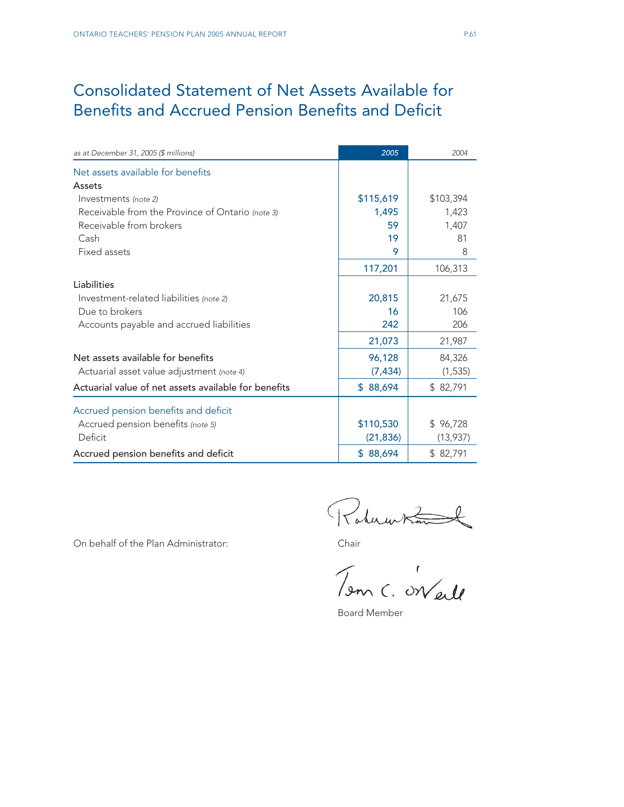# Consolidated Statement of Net Assets Available for Benefits and Accrued Pension Benefits and Deficit

| as at December 31, 2005 (\$ millions)                | 2005          | 2004      |
|------------------------------------------------------|---------------|-----------|
| Net assets available for benefits                    |               |           |
| Assets                                               |               |           |
| Investments (note 2)                                 | \$115,619     | \$103,394 |
| Receivable from the Province of Ontario (note 3)     | 1,495         | 1,423     |
| Receivable from brokers                              | 59            | 1,407     |
| Cash                                                 | 19            | 81        |
| Fixed assets                                         | 9             | 8         |
|                                                      | 117,201       | 106,313   |
| Liabilities                                          |               |           |
| Investment-related liabilities (note 2)              | 20,815        | 21,675    |
| Due to brokers                                       | 16            | 106       |
| Accounts payable and accrued liabilities             | 242           | 206       |
|                                                      | 21,073        | 21,987    |
| Net assets available for benefits                    | 96,128        | 84,326    |
| Actuarial asset value adjustment (note 4)            | (7, 434)      | (1, 535)  |
| Actuarial value of net assets available for benefits | 88,694<br>\$. | \$82,791  |
| Accrued pension benefits and deficit                 |               |           |
| Accrued pension benefits (note 5)                    | \$110,530     | \$96,728  |
| Deficit                                              | (21, 836)     | (13,937)  |
| Accrued pension benefits and deficit                 | \$88,694      | \$82,791  |

On behalf of the Plan Administrator:<br>Chair<br>Tom C. ON eile

Board Member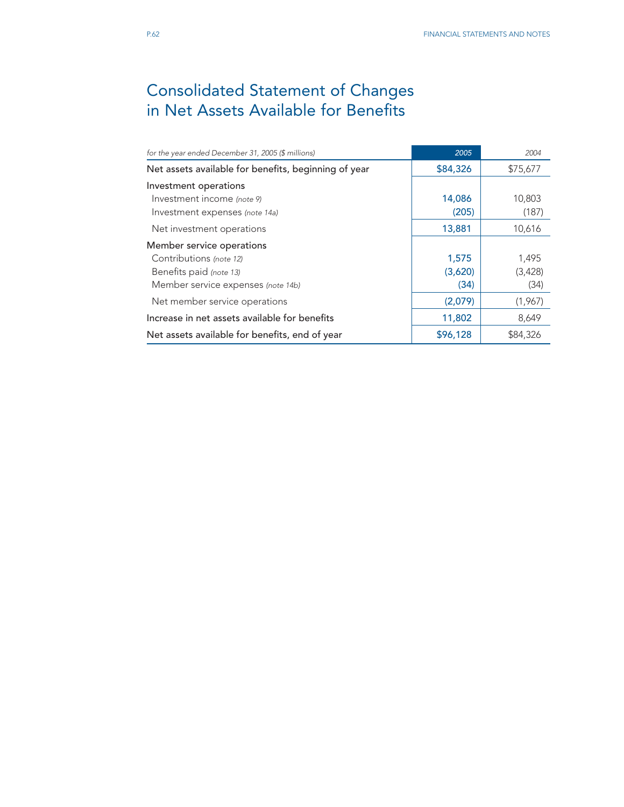# Consolidated Statement of Changes in Net Assets Available for Benefits

| for the year ended December 31, 2005 (\$ millions)   | 2005     | 2004     |
|------------------------------------------------------|----------|----------|
| Net assets available for benefits, beginning of year | \$84,326 | \$75,677 |
| Investment operations                                |          |          |
| Investment income (note 9)                           | 14,086   | 10,803   |
| Investment expenses (note 14a)                       | (205)    | (187)    |
| Net investment operations                            | 13,881   | 10,616   |
| Member service operations                            |          |          |
| Contributions (note 12)                              | 1,575    | 1,495    |
| Benefits paid (note 13)                              | (3,620)  | (3,428)  |
| Member service expenses (note 14b)                   | (34)     | (34)     |
| Net member service operations                        | (2,079)  | (1,967)  |
| Increase in net assets available for benefits        | 11,802   | 8,649    |
| Net assets available for benefits, end of year       | \$96,128 | \$84,326 |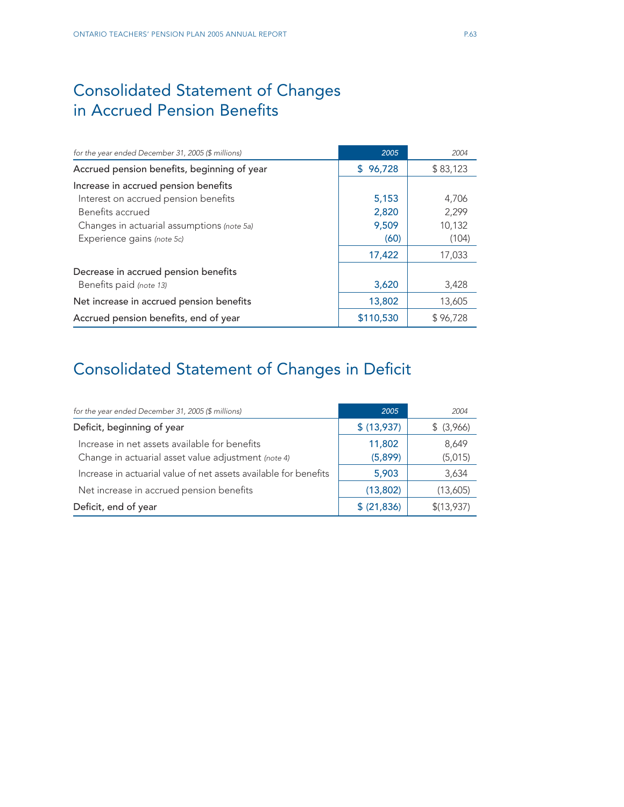# Consolidated Statement of Changes in Accrued Pension Benefits

| for the year ended December 31, 2005 (\$ millions) | 2005         | 2004     |
|----------------------------------------------------|--------------|----------|
| Accrued pension benefits, beginning of year        | 96,728<br>S. | \$83,123 |
| Increase in accrued pension benefits               |              |          |
| Interest on accrued pension benefits               | 5,153        | 4,706    |
| Benefits accrued                                   | 2,820        | 2,299    |
| Changes in actuarial assumptions (note 5a)         | 9,509        | 10,132   |
| Experience gains (note 5c)                         | (60)         | (104)    |
|                                                    | 17,422       | 17,033   |
| Decrease in accrued pension benefits               |              |          |
| Benefits paid (note 13)                            | 3,620        | 3,428    |
| Net increase in accrued pension benefits           | 13,802       | 13,605   |
| Accrued pension benefits, end of year              | \$110,530    | \$96,728 |

# Consolidated Statement of Changes in Deficit

| for the year ended December 31, 2005 (\$ millions)                                                   | 2005              | 2004             |
|------------------------------------------------------------------------------------------------------|-------------------|------------------|
| Deficit, beginning of year                                                                           | \$ (13,937)       | \$ (3,966)       |
| Increase in net assets available for benefits<br>Change in actuarial asset value adjustment (note 4) | 11,802<br>(5,899) | 8,649<br>(5,015) |
| Increase in actuarial value of net assets available for benefits                                     | 5,903             | 3,634            |
| Net increase in accrued pension benefits                                                             | (13,802)          | (13,605)         |
| Deficit, end of year                                                                                 | \$ (21,836)       | \$(13,937)       |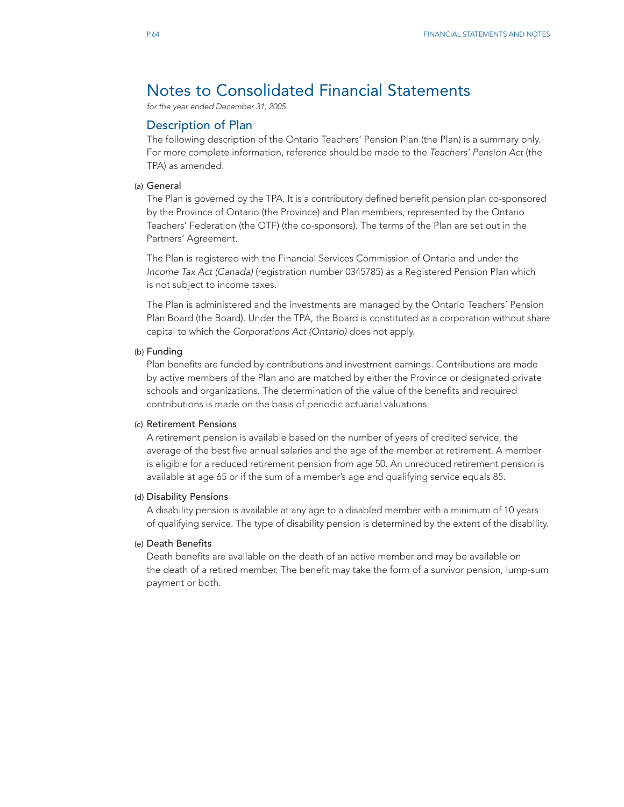# Notes to Consolidated Financial Statements

*for the year ended December 31, 2005*

# Description of Plan

The following description of the Ontario Teachers' Pension Plan (the Plan) is a summary only. For more complete information, reference should be made to the *Teachers' Pension Act* (the TPA) as amended.

### (a) General

The Plan is governed by the TPA. It is a contributory defined benefit pension plan co-sponsored by the Province of Ontario (the Province) and Plan members, represented by the Ontario Teachers' Federation (the OTF) (the co-sponsors). The terms of the Plan are set out in the Partners' Agreement.

The Plan is registered with the Financial Services Commission of Ontario and under the *Income Tax Act (Canada)* (registration number 0345785) as a Registered Pension Plan which is not subject to income taxes.

The Plan is administered and the investments are managed by the Ontario Teachers' Pension Plan Board (the Board). Under the TPA, the Board is constituted as a corporation without share capital to which the *Corporations Act (Ontario)* does not apply.

#### (b) Funding

Plan benefits are funded by contributions and investment earnings. Contributions are made by active members of the Plan and are matched by either the Province or designated private schools and organizations. The determination of the value of the benefits and required contributions is made on the basis of periodic actuarial valuations.

#### (c) Retirement Pensions

A retirement pension is available based on the number of years of credited service, the average of the best five annual salaries and the age of the member at retirement. A member is eligible for a reduced retirement pension from age 50. An unreduced retirement pension is available at age 65 or if the sum of a member's age and qualifying service equals 85.

#### (d) Disability Pensions

A disability pension is available at any age to a disabled member with a minimum of 10 years of qualifying service. The type of disability pension is determined by the extent of the disability.

### (e) Death Benefits

Death benefits are available on the death of an active member and may be available on the death of a retired member. The benefit may take the form of a survivor pension, lump-sum payment or both.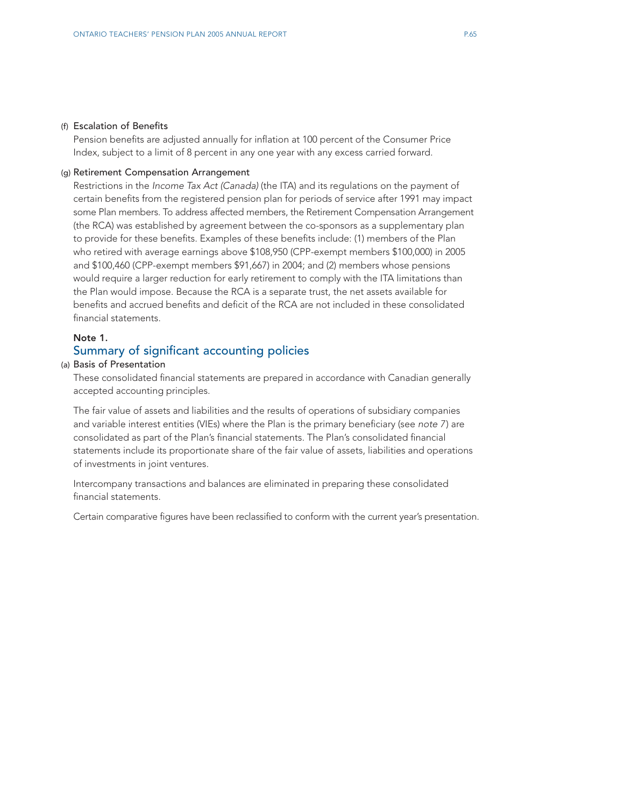#### (f) Escalation of Benefits

Pension benefits are adjusted annually for inflation at 100 percent of the Consumer Price Index, subject to a limit of 8 percent in any one year with any excess carried forward.

#### (g) Retirement Compensation Arrangement

Restrictions in the *Income Tax Act (Canada)* (the ITA) and its regulations on the payment of certain benefits from the registered pension plan for periods of service after 1991 may impact some Plan members. To address affected members, the Retirement Compensation Arrangement (the RCA) was established by agreement between the co-sponsors as a supplementary plan to provide for these benefits. Examples of these benefits include: (1) members of the Plan who retired with average earnings above \$108,950 (CPP-exempt members \$100,000) in 2005 and \$100,460 (CPP-exempt members \$91,667) in 2004; and (2) members whose pensions would require a larger reduction for early retirement to comply with the ITA limitations than the Plan would impose. Because the RCA is a separate trust, the net assets available for benefits and accrued benefits and deficit of the RCA are not included in these consolidated financial statements.

# Note 1.

# Summary of significant accounting policies

# (a) Basis of Presentation

These consolidated financial statements are prepared in accordance with Canadian generally accepted accounting principles.

The fair value of assets and liabilities and the results of operations of subsidiary companies and variable interest entities (VIEs) where the Plan is the primary beneficiary (see *note 7*) are consolidated as part of the Plan's financial statements. The Plan's consolidated financial statements include its proportionate share of the fair value of assets, liabilities and operations of investments in joint ventures.

Intercompany transactions and balances are eliminated in preparing these consolidated financial statements.

Certain comparative figures have been reclassified to conform with the current year's presentation.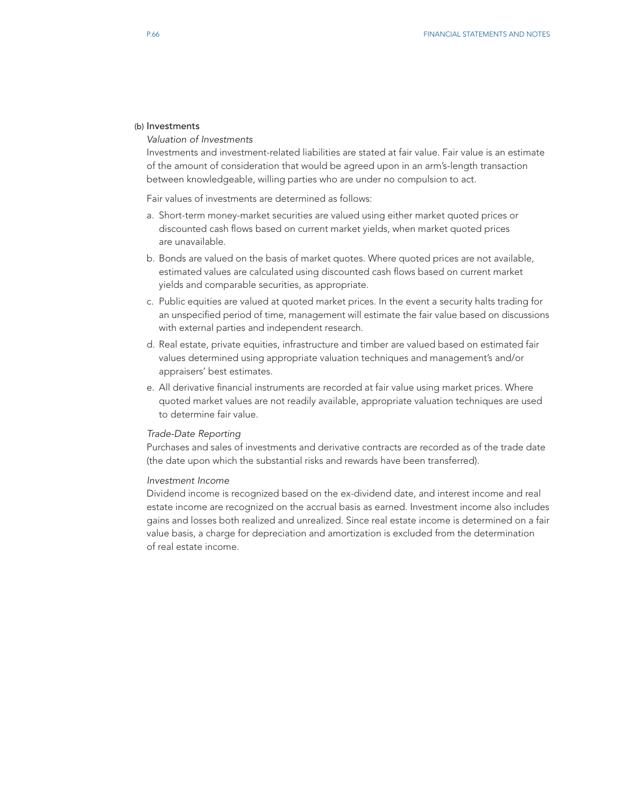# (b) Investments

*Valuation of Investments*

Investments and investment-related liabilities are stated at fair value. Fair value is an estimate of the amount of consideration that would be agreed upon in an arm's-length transaction between knowledgeable, willing parties who are under no compulsion to act.

Fair values of investments are determined as follows:

- a. Short-term money-market securities are valued using either market quoted prices or discounted cash flows based on current market yields, when market quoted prices are unavailable.
- b. Bonds are valued on the basis of market quotes. Where quoted prices are not available, estimated values are calculated using discounted cash flows based on current market yields and comparable securities, as appropriate.
- c. Public equities are valued at quoted market prices. In the event a security halts trading for an unspecified period of time, management will estimate the fair value based on discussions with external parties and independent research.
- d. Real estate, private equities, infrastructure and timber are valued based on estimated fair values determined using appropriate valuation techniques and management's and/or appraisers' best estimates.
- e. All derivative financial instruments are recorded at fair value using market prices. Where quoted market values are not readily available, appropriate valuation techniques are used to determine fair value.

#### *Trade-Date Reporting*

Purchases and sales of investments and derivative contracts are recorded as of the trade date (the date upon which the substantial risks and rewards have been transferred).

#### *Investment Income*

Dividend income is recognized based on the ex-dividend date, and interest income and real estate income are recognized on the accrual basis as earned. Investment income also includes gains and losses both realized and unrealized. Since real estate income is determined on a fair value basis, a charge for depreciation and amortization is excluded from the determination of real estate income.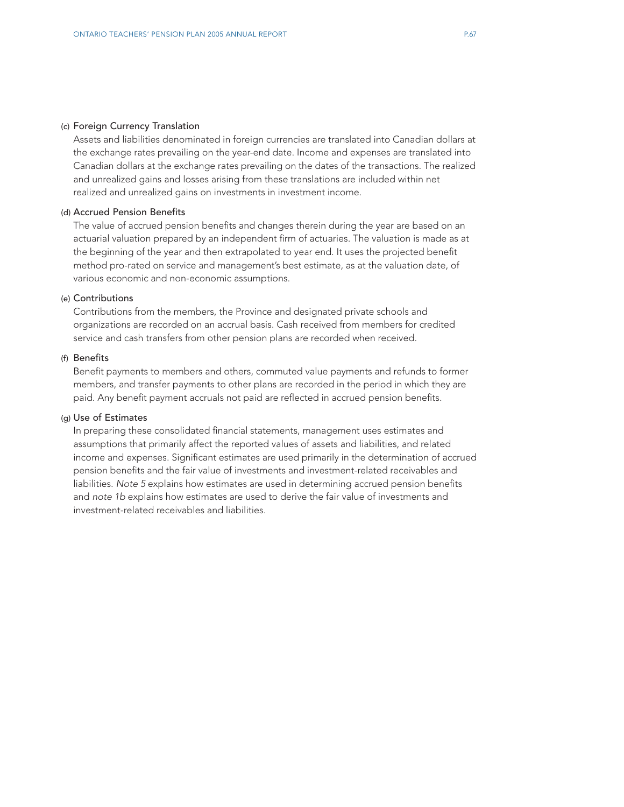### (c) Foreign Currency Translation

Assets and liabilities denominated in foreign currencies are translated into Canadian dollars at the exchange rates prevailing on the year-end date. Income and expenses are translated into Canadian dollars at the exchange rates prevailing on the dates of the transactions. The realized and unrealized gains and losses arising from these translations are included within net realized and unrealized gains on investments in investment income.

# (d) Accrued Pension Benefits

The value of accrued pension benefits and changes therein during the year are based on an actuarial valuation prepared by an independent firm of actuaries. The valuation is made as at the beginning of the year and then extrapolated to year end. It uses the projected benefit method pro-rated on service and management's best estimate, as at the valuation date, of various economic and non-economic assumptions.

#### (e) Contributions

Contributions from the members, the Province and designated private schools and organizations are recorded on an accrual basis. Cash received from members for credited service and cash transfers from other pension plans are recorded when received.

# (f) Benefits

Benefit payments to members and others, commuted value payments and refunds to former members, and transfer payments to other plans are recorded in the period in which they are paid. Any benefit payment accruals not paid are reflected in accrued pension benefits.

# (g) Use of Estimates

In preparing these consolidated financial statements, management uses estimates and assumptions that primarily affect the reported values of assets and liabilities, and related income and expenses. Significant estimates are used primarily in the determination of accrued pension benefits and the fair value of investments and investment-related receivables and liabilities. *Note 5* explains how estimates are used in determining accrued pension benefits and *note 1b* explains how estimates are used to derive the fair value of investments and investment-related receivables and liabilities.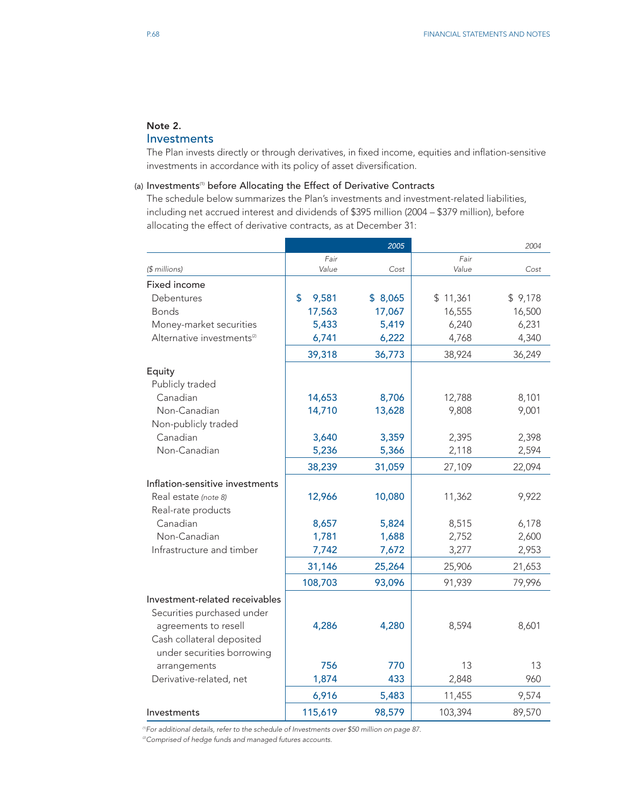# Note 2.

# Investments

The Plan invests directly or through derivatives, in fixed income, equities and inflation-sensitive investments in accordance with its policy of asset diversification.

# (a) Investments<sup>(1)</sup> before Allocating the Effect of Derivative Contracts

The schedule below summarizes the Plan's investments and investment-related liabilities, including net accrued interest and dividends of \$395 million (2004 – \$379 million), before allocating the effect of derivative contracts, as at December 31:

|                                        |               | 2005    |               | 2004    |
|----------------------------------------|---------------|---------|---------------|---------|
| (\$ millions)                          | Fair<br>Value | Cost    | Fair<br>Value | Cost    |
|                                        |               |         |               |         |
| Fixed income                           |               |         |               |         |
| Debentures                             | \$<br>9,581   | \$8,065 | \$11,361      | \$9,178 |
| <b>Bonds</b>                           | 17,563        | 17,067  | 16,555        | 16,500  |
| Money-market securities                | 5,433         | 5,419   | 6,240         | 6,231   |
| Alternative investments <sup>(2)</sup> | 6,741         | 6,222   | 4,768         | 4,340   |
|                                        | 39,318        | 36,773  | 38,924        | 36,249  |
| Equity                                 |               |         |               |         |
| Publicly traded                        |               |         |               |         |
| Canadian                               | 14,653        | 8,706   | 12,788        | 8,101   |
| Non-Canadian                           | 14,710        | 13,628  | 9,808         | 9,001   |
| Non-publicly traded                    |               |         |               |         |
| Canadian                               | 3,640         | 3,359   | 2,395         | 2,398   |
| Non-Canadian                           | 5,236         | 5,366   | 2,118         | 2,594   |
|                                        | 38,239        | 31,059  | 27,109        | 22,094  |
| Inflation-sensitive investments        |               |         |               |         |
| Real estate (note 8)                   | 12,966        | 10,080  | 11,362        | 9,922   |
| Real-rate products                     |               |         |               |         |
| Canadian                               | 8,657         | 5,824   | 8,515         | 6,178   |
| Non-Canadian                           | 1,781         | 1,688   | 2,752         | 2,600   |
| Infrastructure and timber              | 7,742         | 7,672   | 3,277         | 2,953   |
|                                        | 31,146        | 25,264  | 25,906        | 21,653  |
|                                        | 108,703       | 93,096  | 91,939        | 79,996  |
| Investment-related receivables         |               |         |               |         |
| Securities purchased under             |               |         |               |         |
| agreements to resell                   | 4,286         | 4,280   | 8,594         | 8,601   |
| Cash collateral deposited              |               |         |               |         |
| under securities borrowing             |               |         |               |         |
| arrangements                           | 756           | 770     | 13            | 13      |
| Derivative-related, net                | 1,874         | 433     | 2,848         | 960     |
|                                        | 6,916         | 5,483   | 11,455        | 9,574   |
| Investments                            | 115,619       | 98,579  | 103,394       | 89,570  |

*(1)For additional details, refer to the schedule of Investments over \$50 million on page 87.*

*(2)Comprised of hedge funds and managed futures accounts.*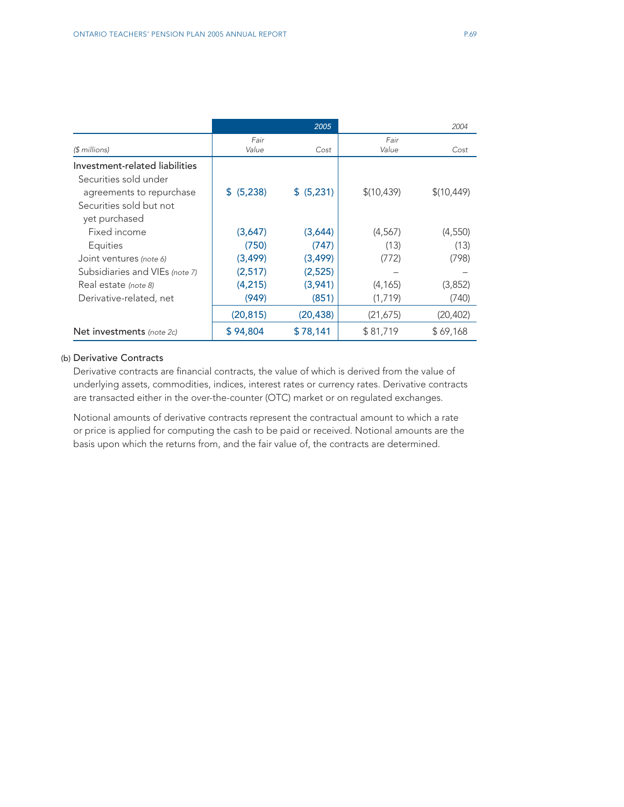|                                |            | 2005       |             | 2004        |
|--------------------------------|------------|------------|-------------|-------------|
|                                | Fair       |            | Fair        |             |
| $$$ millions)                  | Value      | Cost       | Value       | Cost        |
| Investment-related liabilities |            |            |             |             |
| Securities sold under          |            |            |             |             |
| agreements to repurchase       | \$ (5,238) | \$ (5,231) | \$(10, 439) | \$(10, 449) |
| Securities sold but not        |            |            |             |             |
| yet purchased                  |            |            |             |             |
| Fixed income                   | (3,647)    | (3,644)    | (4,567)     | (4,550)     |
| Equities                       | (750)      | (747)      | (13)        | (13)        |
| Joint ventures (note 6)        | (3, 499)   | (3, 499)   | (772)       | (798)       |
| Subsidiaries and VIEs (note 7) | (2,517)    | (2,525)    |             |             |
| Real estate (note 8)           | (4,215)    | (3,941)    | (4, 165)    | (3,852)     |
| Derivative-related, net        | (949)      | (851)      | (1,719)     | (740)       |
|                                | (20, 815)  | (20, 438)  | (21, 675)   | (20,402)    |
| Net investments (note 2c)      | \$94,804   | \$78,141   | \$81,719    | \$69,168    |

# (b) Derivative Contracts

Derivative contracts are financial contracts, the value of which is derived from the value of underlying assets, commodities, indices, interest rates or currency rates. Derivative contracts are transacted either in the over-the-counter (OTC) market or on regulated exchanges.

Notional amounts of derivative contracts represent the contractual amount to which a rate or price is applied for computing the cash to be paid or received. Notional amounts are the basis upon which the returns from, and the fair value of, the contracts are determined.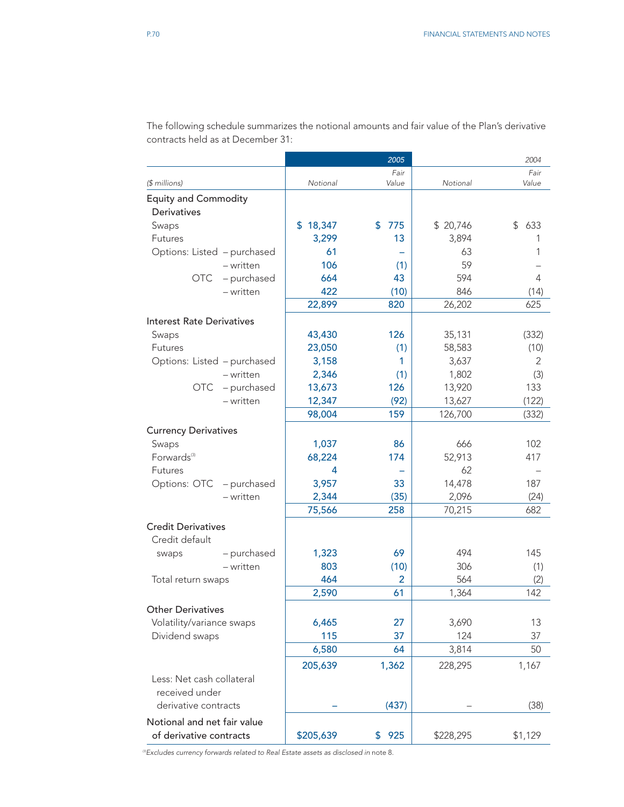|                             |             |           | 2005          |           | 2004          |
|-----------------------------|-------------|-----------|---------------|-----------|---------------|
| (\$ millions)               |             | Notional  | Fair<br>Value | Notional  | Fair<br>Value |
| <b>Equity and Commodity</b> |             |           |               |           |               |
| <b>Derivatives</b>          |             |           |               |           |               |
| Swaps                       |             | \$18,347  | 775<br>\$     | \$20,746  | \$<br>633     |
| Futures                     |             | 3,299     | 13            | 3,894     | 1             |
| Options: Listed - purchased |             | 61        | -             | 63        | 1             |
|                             | $-$ written | 106       | (1)           | 59        |               |
| OTC                         | - purchased | 664       | 43            | 594       | 4             |
|                             | - written   | 422       | (10)          | 846       | (14)          |
|                             |             | 22,899    | 820           | 26,202    | 625           |
| Interest Rate Derivatives   |             |           |               |           |               |
| Swaps                       |             | 43,430    | 126           | 35,131    | (332)         |
| <b>Futures</b>              |             | 23,050    | (1)           | 58,583    | (10)          |
| Options: Listed - purchased |             | 3,158     | 1             | 3,637     | 2             |
|                             | $-$ written | 2,346     | (1)           | 1,802     | (3)           |
| OTC                         | - purchased | 13,673    | 126           | 13,920    | 133           |
|                             | - written   | 12,347    | (92)          | 13,627    | (122)         |
|                             |             | 98,004    | 159           | 126,700   | (332)         |
| <b>Currency Derivatives</b> |             |           |               |           |               |
| Swaps                       |             | 1,037     | 86            | 666       | 102           |
| Forwards <sup>(3)</sup>     |             | 68,224    | 174           | 52,913    | 417           |
| <b>Futures</b>              |             | 4         |               | 62        |               |
| Options: OTC                | - purchased | 3,957     | 33            | 14,478    | 187           |
|                             | $-$ written | 2,344     | (35)          | 2,096     | (24)          |
|                             |             | 75,566    | 258           | 70,215    | 682           |
| <b>Credit Derivatives</b>   |             |           |               |           |               |
|                             |             |           |               |           |               |
| Credit default              |             |           |               |           |               |
| swaps                       | - purchased | 1,323     | 69            | 494       | 145           |
|                             | - written   | 803       | (10)          | 306       | (1)           |
| Total return swaps          |             | 464       | 2             | 564       | (2)           |
|                             |             | 2,590     | 61            | 1,364     | 142           |
| <b>Other Derivatives</b>    |             |           |               |           |               |
| Volatility/variance swaps   |             | 6,465     | 27            | 3,690     | 13            |
| Dividend swaps              |             | 115       | 37            | 124       | 37            |
|                             |             | 6,580     | 64            | 3,814     | 50            |
|                             |             | 205,639   | 1,362         | 228,295   | 1,167         |
| Less: Net cash collateral   |             |           |               |           |               |
| received under              |             |           |               |           |               |
| derivative contracts        |             |           | (437)         |           | (38)          |
| Notional and net fair value |             |           |               |           |               |
| of derivative contracts     |             | \$205,639 | 925<br>\$     | \$228,295 | \$1,129       |

The following schedule summarizes the notional amounts and fair value of the Plan's derivative contracts held as at December 31:

*(3)Excludes currency forwards related to Real Estate assets as disclosed in* note 8*.*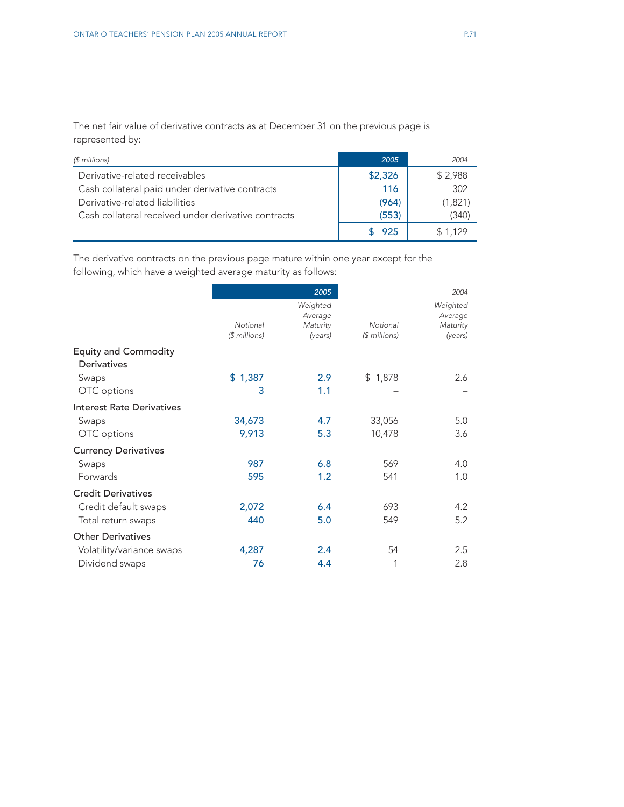The net fair value of derivative contracts as at December 31 on the previous page is represented by:

| (\$ millions)                                       | 2005    | 2004    |
|-----------------------------------------------------|---------|---------|
| Derivative-related receivables                      | \$2,326 | \$2,988 |
| Cash collateral paid under derivative contracts     | 116     | 302     |
| Derivative-related liabilities                      | (964)   | (1,821) |
| Cash collateral received under derivative contracts | (553)   | (340)   |
|                                                     | 925     | \$1.129 |

The derivative contracts on the previous page mature within one year except for the following, which have a weighted average maturity as follows:

|                                            |                            | 2005                                       |                            | 2004                                       |
|--------------------------------------------|----------------------------|--------------------------------------------|----------------------------|--------------------------------------------|
|                                            | Notional<br>$($$ millions) | Weighted<br>Average<br>Maturity<br>(years) | Notional<br>$($$ millions) | Weighted<br>Average<br>Maturity<br>(years) |
| <b>Equity and Commodity</b><br>Derivatives |                            |                                            |                            |                                            |
| Swaps                                      | \$1,387                    | 2.9                                        | \$1,878                    | 2.6                                        |
| OTC options                                | 3                          | 1.1                                        |                            |                                            |
| Interest Rate Derivatives                  |                            |                                            |                            |                                            |
| Swaps                                      | 34,673                     | 4.7                                        | 33,056                     | 5.0                                        |
| OTC options                                | 9,913                      | 5.3                                        | 10,478                     | 3.6                                        |
| <b>Currency Derivatives</b>                |                            |                                            |                            |                                            |
| Swaps                                      | 987                        | 6.8                                        | 569                        | 4.0                                        |
| Forwards                                   | 595                        | 1.2                                        | 541                        | 1.0                                        |
| <b>Credit Derivatives</b>                  |                            |                                            |                            |                                            |
| Credit default swaps                       | 2,072                      | 6.4                                        | 693                        | 4.2                                        |
| Total return swaps                         | 440                        | 5.0                                        | 549                        | 5.2                                        |
| <b>Other Derivatives</b>                   |                            |                                            |                            |                                            |
| Volatility/variance swaps                  | 4,287                      | 2.4                                        | 54                         | 2.5                                        |
| Dividend swaps                             | 76                         | 4.4                                        |                            | 2.8                                        |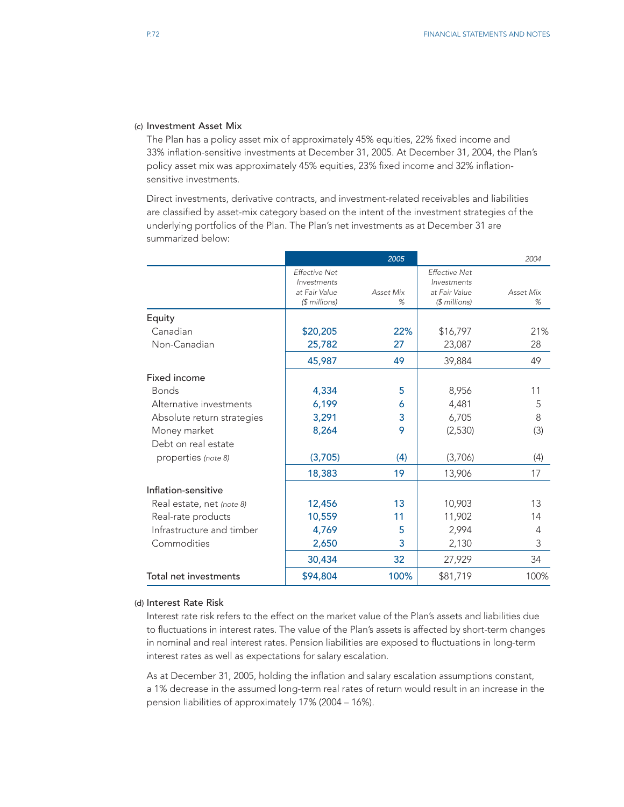#### (c) Investment Asset Mix

The Plan has a policy asset mix of approximately 45% equities, 22% fixed income and 33% inflation-sensitive investments at December 31, 2005. At December 31, 2004, the Plan's policy asset mix was approximately 45% equities, 23% fixed income and 32% inflationsensitive investments.

Direct investments, derivative contracts, and investment-related receivables and liabilities are classified by asset-mix category based on the intent of the investment strategies of the underlying portfolios of the Plan. The Plan's net investments as at December 31 are summarized below:

|                            |                                                                        | 2005           |                                                                       | 2004           |
|----------------------------|------------------------------------------------------------------------|----------------|-----------------------------------------------------------------------|----------------|
|                            | <b>Effective Net</b><br>Investments<br>at Fair Value<br>$($$ millions) | Asset Mix<br>% | <b>Effective Net</b><br>Investments<br>at Fair Value<br>$$$ millions) | Asset Mix<br>% |
| Equity                     |                                                                        |                |                                                                       |                |
| Canadian                   | \$20,205                                                               | 22%            | \$16,797                                                              | 21%            |
| Non-Canadian               | 25,782                                                                 | 27             | 23,087                                                                | 28             |
|                            | 45,987                                                                 | 49             | 39,884                                                                | 49             |
| Fixed income               |                                                                        |                |                                                                       |                |
| <b>Bonds</b>               | 4,334                                                                  | 5              | 8,956                                                                 | 11             |
| Alternative investments    | 6,199                                                                  | 6              | 4,481                                                                 | 5              |
| Absolute return strategies | 3,291                                                                  | 3              | 6,705                                                                 | 8              |
| Money market               | 8,264                                                                  | 9              | (2,530)                                                               | (3)            |
| Debt on real estate        |                                                                        |                |                                                                       |                |
| properties (note 8)        | (3,705)                                                                | (4)            | (3,706)                                                               | (4)            |
|                            | 18,383                                                                 | 19             | 13,906                                                                | 17             |
| Inflation-sensitive        |                                                                        |                |                                                                       |                |
| Real estate, net (note 8)  | 12,456                                                                 | 13             | 10,903                                                                | 13             |
| Real-rate products         | 10,559                                                                 | 11             | 11,902                                                                | 14             |
| Infrastructure and timber  | 4,769                                                                  | 5              | 2,994                                                                 | 4              |
| Commodities                | 2,650                                                                  | 3              | 2,130                                                                 | 3              |
|                            | 30,434                                                                 | 32             | 27,929                                                                | 34             |
| Total net investments      | \$94,804                                                               | 100%           | \$81,719                                                              | 100%           |

### (d) Interest Rate Risk

Interest rate risk refers to the effect on the market value of the Plan's assets and liabilities due to fluctuations in interest rates. The value of the Plan's assets is affected by short-term changes in nominal and real interest rates. Pension liabilities are exposed to fluctuations in long-term interest rates as well as expectations for salary escalation.

As at December 31, 2005, holding the inflation and salary escalation assumptions constant, a 1% decrease in the assumed long-term real rates of return would result in an increase in the pension liabilities of approximately 17% (2004 – 16%).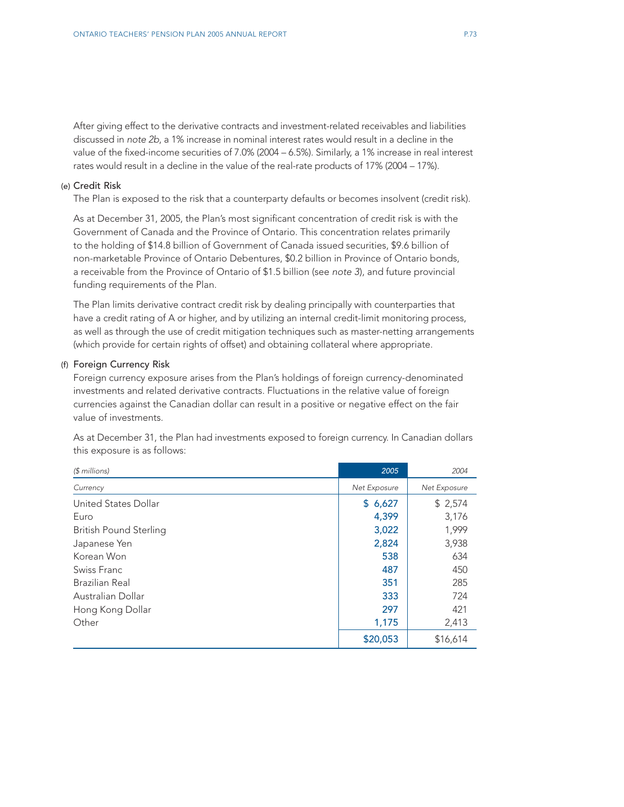After giving effect to the derivative contracts and investment-related receivables and liabilities discussed in *note 2b*, a 1% increase in nominal interest rates would result in a decline in the value of the fixed-income securities of 7.0% (2004 – 6.5%). Similarly, a 1% increase in real interest rates would result in a decline in the value of the real-rate products of 17% (2004 – 17%).

### (e) Credit Risk

The Plan is exposed to the risk that a counterparty defaults or becomes insolvent (credit risk).

As at December 31, 2005, the Plan's most significant concentration of credit risk is with the Government of Canada and the Province of Ontario. This concentration relates primarily to the holding of \$14.8 billion of Government of Canada issued securities, \$9.6 billion of non-marketable Province of Ontario Debentures, \$0.2 billion in Province of Ontario bonds, a receivable from the Province of Ontario of \$1.5 billion (see *note 3*), and future provincial funding requirements of the Plan.

The Plan limits derivative contract credit risk by dealing principally with counterparties that have a credit rating of A or higher, and by utilizing an internal credit-limit monitoring process, as well as through the use of credit mitigation techniques such as master-netting arrangements (which provide for certain rights of offset) and obtaining collateral where appropriate.

#### (f) Foreign Currency Risk

Foreign currency exposure arises from the Plan's holdings of foreign currency-denominated investments and related derivative contracts. Fluctuations in the relative value of foreign currencies against the Canadian dollar can result in a positive or negative effect on the fair value of investments.

As at December 31, the Plan had investments exposed to foreign currency. In Canadian dollars this exposure is as follows:

| $$$ millions)                 | 2005         | 2004         |
|-------------------------------|--------------|--------------|
| Currency                      | Net Exposure | Net Exposure |
| United States Dollar          | \$6,627      | \$2,574      |
| Euro                          | 4,399        | 3,176        |
| <b>British Pound Sterling</b> | 3,022        | 1,999        |
| Japanese Yen                  | 2,824        | 3,938        |
| Korean Won                    | 538          | 634          |
| Swiss Franc                   | 487          | 450          |
| Brazilian Real                | 351          | 285          |
| Australian Dollar             | 333          | 724          |
| Hong Kong Dollar              | 297          | 421          |
| Other                         | 1,175        | 2,413        |
|                               | \$20,053     | \$16,614     |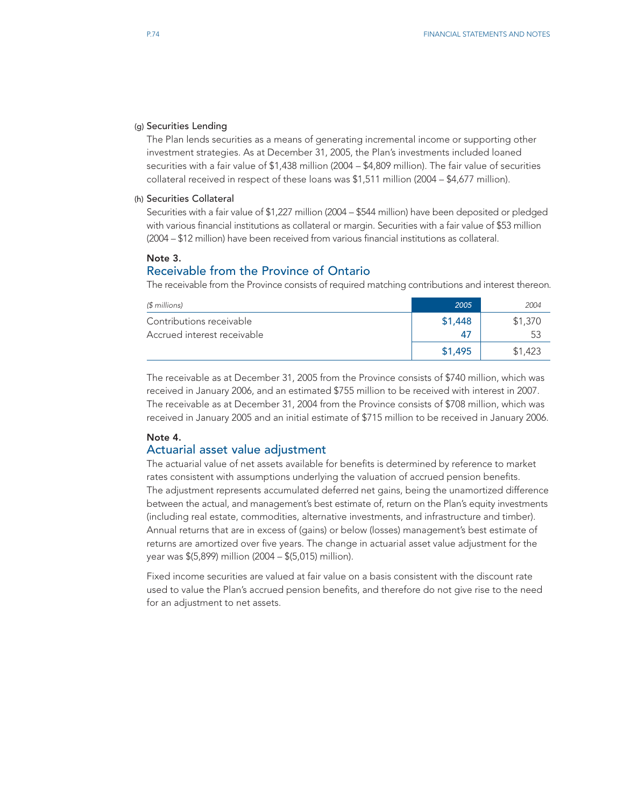#### (g) Securities Lending

The Plan lends securities as a means of generating incremental income or supporting other investment strategies. As at December 31, 2005, the Plan's investments included loaned securities with a fair value of \$1,438 million (2004 – \$4,809 million). The fair value of securities collateral received in respect of these loans was \$1,511 million (2004 – \$4,677 million).

#### (h) Securities Collateral

Securities with a fair value of \$1,227 million (2004 – \$544 million) have been deposited or pledged with various financial institutions as collateral or margin. Securities with a fair value of \$53 million (2004 – \$12 million) have been received from various financial institutions as collateral.

### Note 3.

# Receivable from the Province of Ontario

The receivable from the Province consists of required matching contributions and interest thereon.

| $$$ millions)               | 2005    | 2004    |
|-----------------------------|---------|---------|
| Contributions receivable    | \$1,448 | \$1,370 |
| Accrued interest receivable |         | 53      |
|                             | \$1.495 | \$1,423 |

The receivable as at December 31, 2005 from the Province consists of \$740 million, which was received in January 2006, and an estimated \$755 million to be received with interest in 2007. The receivable as at December 31, 2004 from the Province consists of \$708 million, which was received in January 2005 and an initial estimate of \$715 million to be received in January 2006.

# Note 4.

# Actuarial asset value adjustment

The actuarial value of net assets available for benefits is determined by reference to market rates consistent with assumptions underlying the valuation of accrued pension benefits. The adjustment represents accumulated deferred net gains, being the unamortized difference between the actual, and management's best estimate of, return on the Plan's equity investments (including real estate, commodities, alternative investments, and infrastructure and timber). Annual returns that are in excess of (gains) or below (losses) management's best estimate of returns are amortized over five years. The change in actuarial asset value adjustment for the year was \$(5,899) million (2004 – \$(5,015) million).

Fixed income securities are valued at fair value on a basis consistent with the discount rate used to value the Plan's accrued pension benefits, and therefore do not give rise to the need for an adjustment to net assets.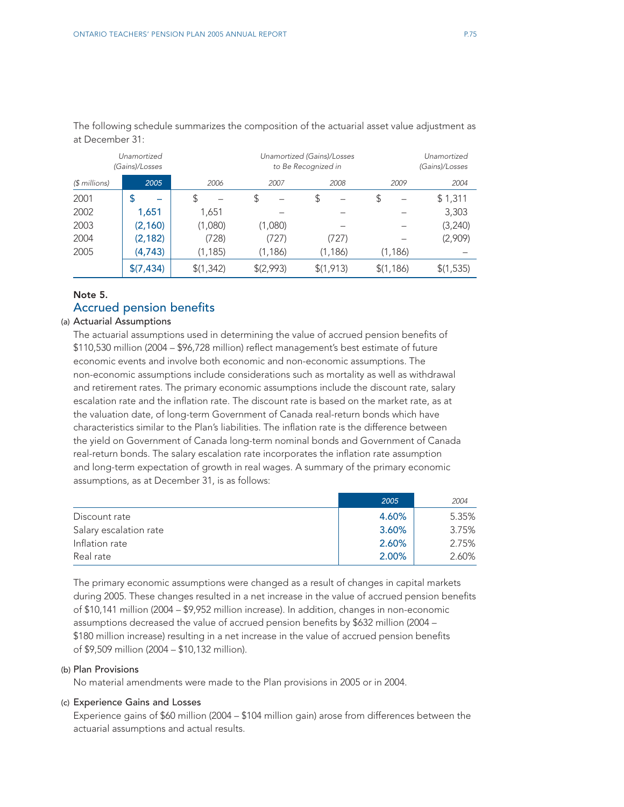|               | Unamortized<br>(Gains)/Losses | Unamortized (Gains)/Losses<br>to Be Recognized in |          |           |            | Unamortized<br>(Gains)/Losses |
|---------------|-------------------------------|---------------------------------------------------|----------|-----------|------------|-------------------------------|
| $$$ millions) | 2005                          | 2006                                              | 2007     | 2008      | 2009       | 2004                          |
| 2001          | \$                            | \$                                                | \$       | S         | \$         | \$1,311                       |
| 2002          | 1,651                         | 1,651                                             |          |           |            | 3,303                         |
| 2003          | (2, 160)                      | (1,080)                                           | (1,080)  |           |            | (3,240)                       |
| 2004          | (2, 182)                      | (728)                                             | (727)    | (727)     |            | (2,909)                       |
| 2005          | (4,743)                       | (1, 185)                                          | (1, 186) | (1, 186)  | (1, 186)   |                               |
|               | \$(7, 434)                    | \$(1,342)                                         | (2,993)  | \$(1,913) | \$(1, 186) | \$(1,535)                     |

The following schedule summarizes the composition of the actuarial asset value adjustment as at December 31:

# Note 5.

# Accrued pension benefits

#### (a) Actuarial Assumptions

The actuarial assumptions used in determining the value of accrued pension benefits of \$110,530 million (2004 – \$96,728 million) reflect management's best estimate of future economic events and involve both economic and non-economic assumptions. The non-economic assumptions include considerations such as mortality as well as withdrawal and retirement rates. The primary economic assumptions include the discount rate, salary escalation rate and the inflation rate. The discount rate is based on the market rate, as at the valuation date, of long-term Government of Canada real-return bonds which have characteristics similar to the Plan's liabilities. The inflation rate is the difference between the yield on Government of Canada long-term nominal bonds and Government of Canada real-return bonds. The salary escalation rate incorporates the inflation rate assumption and long-term expectation of growth in real wages. A summary of the primary economic assumptions, as at December 31, is as follows:

|                        | 2005  | 2004  |
|------------------------|-------|-------|
| Discount rate          | 4.60% | 5.35% |
| Salary escalation rate | 3.60% | 3.75% |
| Inflation rate         | 2.60% | 2.75% |
| Real rate              | 2.00% | 2.60% |

The primary economic assumptions were changed as a result of changes in capital markets during 2005. These changes resulted in a net increase in the value of accrued pension benefits of \$10,141 million (2004 – \$9,952 million increase). In addition, changes in non-economic assumptions decreased the value of accrued pension benefits by \$632 million (2004 – \$180 million increase) resulting in a net increase in the value of accrued pension benefits of \$9,509 million (2004 – \$10,132 million).

### (b) Plan Provisions

No material amendments were made to the Plan provisions in 2005 or in 2004.

#### (c) Experience Gains and Losses

Experience gains of \$60 million (2004 – \$104 million gain) arose from differences between the actuarial assumptions and actual results.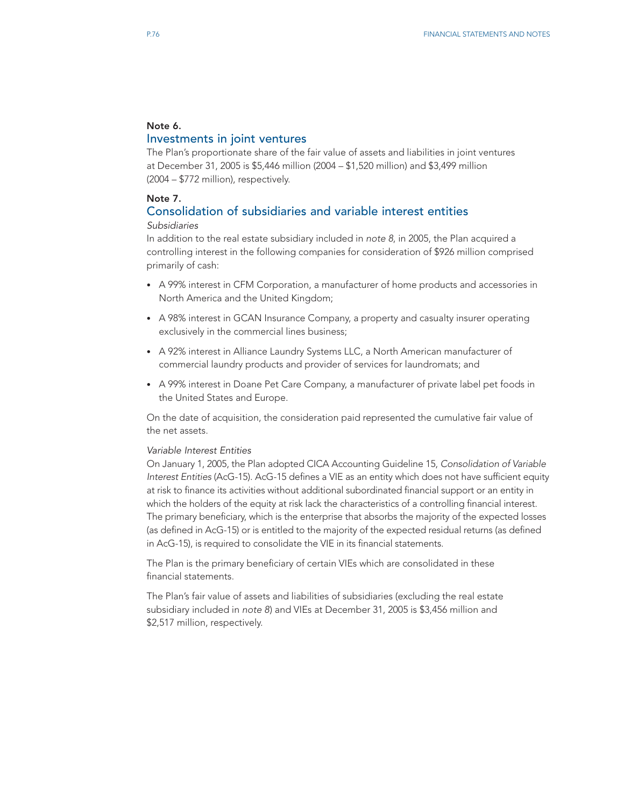# Note 6.

# Investments in joint ventures

The Plan's proportionate share of the fair value of assets and liabilities in joint ventures at December 31, 2005 is \$5,446 million (2004 – \$1,520 million) and \$3,499 million (2004 – \$772 million), respectively.

## Note 7.

# Consolidation of subsidiaries and variable interest entities *Subsidiaries*

In addition to the real estate subsidiary included in *note 8*, in 2005, the Plan acquired a controlling interest in the following companies for consideration of \$926 million comprised primarily of cash:

- A 99% interest in CFM Corporation, a manufacturer of home products and accessories in North America and the United Kingdom;
- A 98% interest in GCAN Insurance Company, a property and casualty insurer operating exclusively in the commercial lines business;
- A 92% interest in Alliance Laundry Systems LLC, a North American manufacturer of commercial laundry products and provider of services for laundromats; and
- A 99% interest in Doane Pet Care Company, a manufacturer of private label pet foods in the United States and Europe.

On the date of acquisition, the consideration paid represented the cumulative fair value of the net assets.

# *Variable Interest Entities*

On January 1, 2005, the Plan adopted CICA Accounting Guideline 15, *Consolidation of Variable Interest Entities* (AcG-15). AcG-15 defines a VIE as an entity which does not have sufficient equity at risk to finance its activities without additional subordinated financial support or an entity in which the holders of the equity at risk lack the characteristics of a controlling financial interest. The primary beneficiary, which is the enterprise that absorbs the majority of the expected losses (as defined in AcG-15) or is entitled to the majority of the expected residual returns (as defined in AcG-15), is required to consolidate the VIE in its financial statements.

The Plan is the primary beneficiary of certain VIEs which are consolidated in these financial statements.

The Plan's fair value of assets and liabilities of subsidiaries (excluding the real estate subsidiary included in *note 8*) and VIEs at December 31, 2005 is \$3,456 million and \$2,517 million, respectively.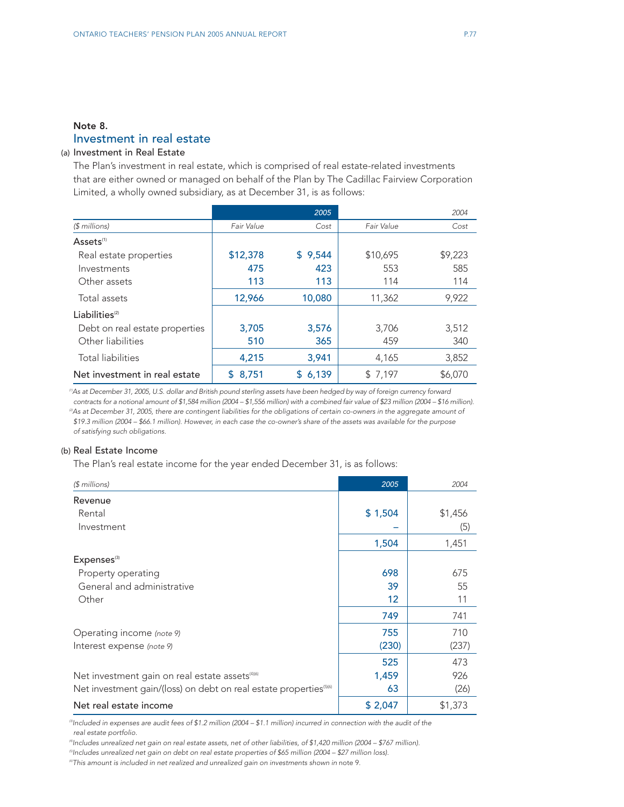# Note 8. Investment in real estate

# (a) Investment in Real Estate

The Plan's investment in real estate, which is comprised of real estate-related investments that are either owned or managed on behalf of the Plan by The Cadillac Fairview Corporation Limited, a wholly owned subsidiary, as at December 31, is as follows:

|                                |             | 2005    |            | 2004    |
|--------------------------------|-------------|---------|------------|---------|
| (\$ millions)                  | Fair Value  | Cost    | Fair Value | Cost    |
| Assets <sup>(1)</sup>          |             |         |            |         |
| Real estate properties         | \$12,378    | \$9,544 | \$10,695   | \$9,223 |
| Investments                    | 475         | 423     | 553        | 585     |
| Other assets                   | 113         | 113     | 114        | 114     |
| Total assets                   | 12,966      | 10,080  | 11,362     | 9,922   |
| Liabilities <sup>(2)</sup>     |             |         |            |         |
| Debt on real estate properties | 3,705       | 3,576   | 3,706      | 3,512   |
| Other liabilities              | 510         | 365     | 459        | 340     |
| Total liabilities              | 4,215       | 3,941   | 4,165      | 3,852   |
| Net investment in real estate  | 8,751<br>S. | \$6,139 | \$7,197    | \$6,070 |

*(1)As at December 31, 2005, U.S. dollar and British pound sterling assets have been hedged by way of foreign currency forward contracts for a notional amount of \$1,584 million (2004 – \$1,556 million) with a combined fair value of \$23 million (2004 – \$16 million). (2)As at December 31, 2005, there are contingent liabilities for the obligations of certain co-owners in the aggregate amount of \$19.3 million (2004 – \$66.1 million). However, in each case the co-owner's share of the assets was available for the purpose of satisfying such obligations.* 

#### (b) Real Estate Income

The Plan's real estate income for the year ended December 31, is as follows:

| $$$ millions)                                                                  | 2005    | 2004    |
|--------------------------------------------------------------------------------|---------|---------|
| Revenue                                                                        |         |         |
| Rental                                                                         | \$1,504 | \$1,456 |
| Investment                                                                     |         | (5)     |
|                                                                                | 1,504   | 1,451   |
| Expenses <sup>(3)</sup>                                                        |         |         |
| Property operating                                                             | 698     | 675     |
| General and administrative                                                     | 39      | 55      |
| Other                                                                          | 12      | 11      |
|                                                                                | 749     | 741     |
| Operating income (note 9)                                                      | 755     | 710     |
| Interest expense (note 9)                                                      | (230)   | (237)   |
|                                                                                | 525     | 473     |
| Net investment gain on real estate assets <sup>(4)(6)</sup>                    | 1,459   | 926     |
| Net investment gain/(loss) on debt on real estate properties <sup>(5)(6)</sup> | 63      | (26)    |
| Net real estate income                                                         | \$2,047 | \$1,373 |

<sup>®</sup>Included in expenses are audit fees of \$1.2 million (2004 – \$1.1 million) incurred in connection with the audit of the *real estate portfolio.*

*(4)Includes unrealized net gain on real estate assets, net of other liabilities, of \$1,420 million (2004 – \$767 million).*

*(5)Includes unrealized net gain on debt on real estate properties of \$65 million (2004 – \$27 million loss).*

*(6)This amount is included in net realized and unrealized gain on investments shown in* note 9*.*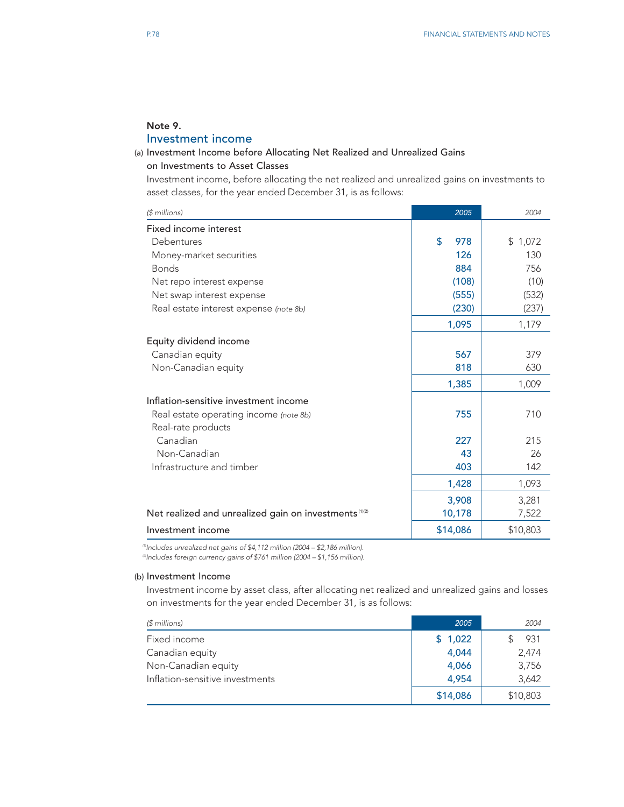# Note 9.

# Investment income

# (a) Investment Income before Allocating Net Realized and Unrealized Gains on Investments to Asset Classes

Investment income, before allocating the net realized and unrealized gains on investments to asset classes, for the year ended December 31, is as follows:

| $$$ millions)                                                     | 2005      | 2004     |
|-------------------------------------------------------------------|-----------|----------|
| Fixed income interest                                             |           |          |
| Debentures                                                        | \$<br>978 | \$1,072  |
| Money-market securities                                           | 126       | 130      |
| <b>Bonds</b>                                                      | 884       | 756      |
| Net repo interest expense                                         | (108)     | (10)     |
| Net swap interest expense                                         | (555)     | (532)    |
| Real estate interest expense (note 8b)                            | (230)     | (237)    |
|                                                                   | 1,095     | 1,179    |
| Equity dividend income                                            |           |          |
| Canadian equity                                                   | 567       | 379      |
| Non-Canadian equity                                               | 818       | 630      |
|                                                                   | 1,385     | 1,009    |
| Inflation-sensitive investment income                             |           |          |
| Real estate operating income (note 8b)                            | 755       | 710      |
| Real-rate products                                                |           |          |
| Canadian                                                          | 227       | 215      |
| Non-Canadian                                                      | 43        | 26       |
| Infrastructure and timber                                         | 403       | 142      |
|                                                                   | 1,428     | 1,093    |
|                                                                   | 3,908     | 3,281    |
| Net realized and unrealized gain on investments <sup>(1)(2)</sup> | 10,178    | 7,522    |
| Investment income                                                 | \$14,086  | \$10,803 |

*(1)Includes unrealized net gains of \$4,112 million (2004 – \$2,186 million). (2)Includes foreign currency gains of \$761 million (2004 – \$1,156 million).*

### (b) Investment Income

Investment income by asset class, after allocating net realized and unrealized gains and losses on investments for the year ended December 31, is as follows:

| $$$ millions)                   | 2005     | 2004     |
|---------------------------------|----------|----------|
| Fixed income                    | \$1,022  | 931      |
| Canadian equity                 | 4.044    | 2.474    |
| Non-Canadian equity             | 4,066    | 3,756    |
| Inflation-sensitive investments | 4.954    | 3,642    |
|                                 | \$14,086 | \$10,803 |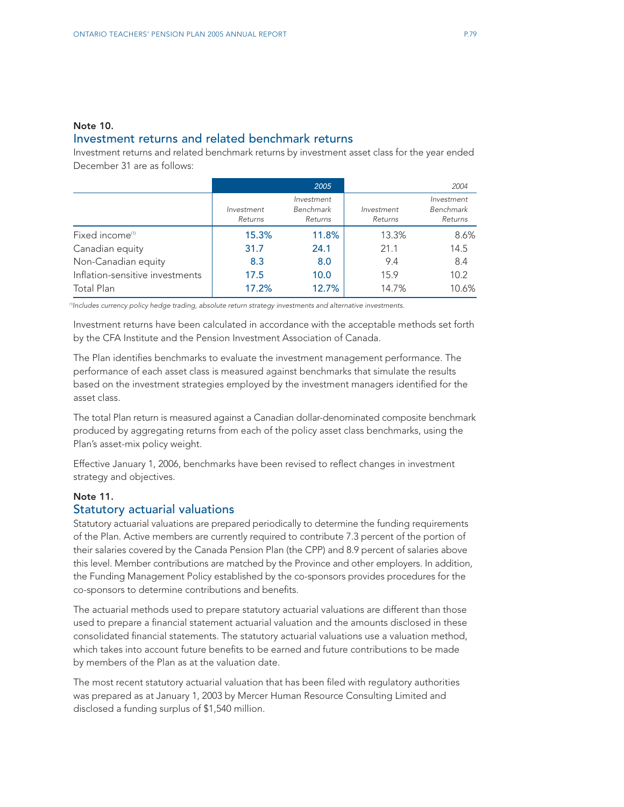# Note 10. Investment returns and related benchmark returns

Investment returns and related benchmark returns by investment asset class for the year ended December 31 are as follows:

|                                 |                       | 2005                               |                       | 2004                               |
|---------------------------------|-----------------------|------------------------------------|-----------------------|------------------------------------|
|                                 | Investment<br>Returns | Investment<br>Benchmark<br>Returns | Investment<br>Returns | Investment<br>Benchmark<br>Returns |
| Fixed income <sup>(1)</sup>     | 15.3%                 | 11.8%                              | 13.3%                 | 8.6%                               |
| Canadian equity                 | 31.7                  | 24.1                               | 21.1                  | 14.5                               |
| Non-Canadian equity             | 8.3                   | 8.0                                | 9.4                   | 8.4                                |
| Inflation-sensitive investments | 17.5                  | 10.0                               | 15.9                  | 10.2                               |
| Total Plan                      | 17.2%                 | 12.7%                              | 14.7%                 | 10.6%                              |

*(1)Includes currency policy hedge trading, absolute return strategy investments and alternative investments.*

Investment returns have been calculated in accordance with the acceptable methods set forth by the CFA Institute and the Pension Investment Association of Canada.

The Plan identifies benchmarks to evaluate the investment management performance. The performance of each asset class is measured against benchmarks that simulate the results based on the investment strategies employed by the investment managers identified for the asset class.

The total Plan return is measured against a Canadian dollar-denominated composite benchmark produced by aggregating returns from each of the policy asset class benchmarks, using the Plan's asset-mix policy weight.

Effective January 1, 2006, benchmarks have been revised to reflect changes in investment strategy and objectives.

### Note 11.

# Statutory actuarial valuations

Statutory actuarial valuations are prepared periodically to determine the funding requirements of the Plan. Active members are currently required to contribute 7.3 percent of the portion of their salaries covered by the Canada Pension Plan (the CPP) and 8.9 percent of salaries above this level. Member contributions are matched by the Province and other employers. In addition, the Funding Management Policy established by the co-sponsors provides procedures for the co-sponsors to determine contributions and benefits.

The actuarial methods used to prepare statutory actuarial valuations are different than those used to prepare a financial statement actuarial valuation and the amounts disclosed in these consolidated financial statements. The statutory actuarial valuations use a valuation method, which takes into account future benefits to be earned and future contributions to be made by members of the Plan as at the valuation date.

The most recent statutory actuarial valuation that has been filed with regulatory authorities was prepared as at January 1, 2003 by Mercer Human Resource Consulting Limited and disclosed a funding surplus of \$1,540 million.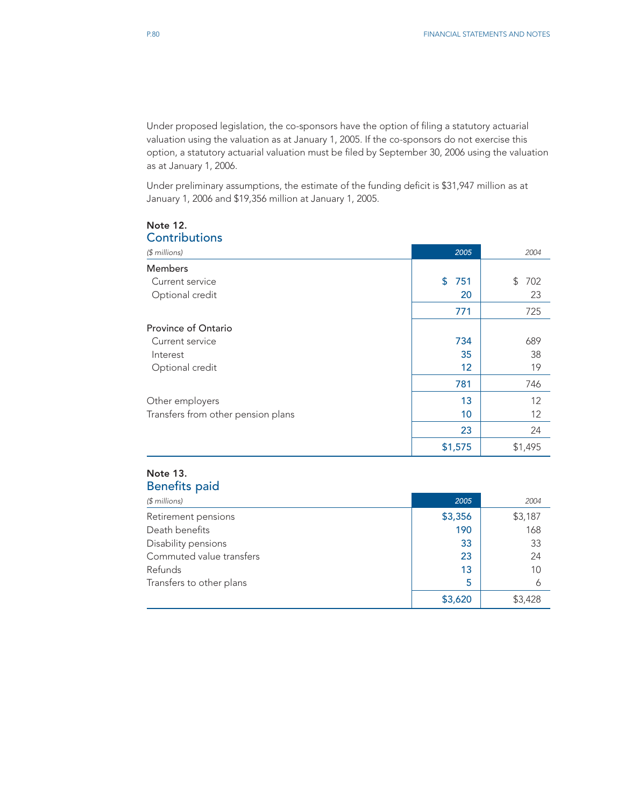Under proposed legislation, the co-sponsors have the option of filing a statutory actuarial valuation using the valuation as at January 1, 2005. If the co-sponsors do not exercise this option, a statutory actuarial valuation must be filed by September 30, 2006 using the valuation as at January 1, 2006.

Under preliminary assumptions, the estimate of the funding deficit is \$31,947 million as at January 1, 2006 and \$19,356 million at January 1, 2005.

| CONTINUES                          |           |           |
|------------------------------------|-----------|-----------|
| $$$ millions)                      | 2005      | 2004      |
| <b>Members</b>                     |           |           |
| Current service                    | \$<br>751 | 702<br>\$ |
| Optional credit                    | 20        | 23        |
|                                    | 771       | 725       |
| Province of Ontario                |           |           |
| Current service                    | 734       | 689       |
| Interest                           | 35        | 38        |
| Optional credit                    | 12        | 19        |
|                                    | 781       | 746       |
| Other employers                    | 13        | 12        |
| Transfers from other pension plans | 10        | 12        |
|                                    | 23        | 24        |
|                                    | \$1,575   | \$1,495   |

#### Note 12. Contributions

# Note 13. Benefits paid

| $$$ millions)            | 2005    | 2004    |
|--------------------------|---------|---------|
| Retirement pensions      | \$3,356 | \$3,187 |
| Death benefits           | 190     | 168     |
| Disability pensions      | 33      | 33      |
| Commuted value transfers | 23      | 24      |
| Refunds                  | 13      | 10      |
| Transfers to other plans | 5       | 6       |
|                          | \$3,620 | \$3,428 |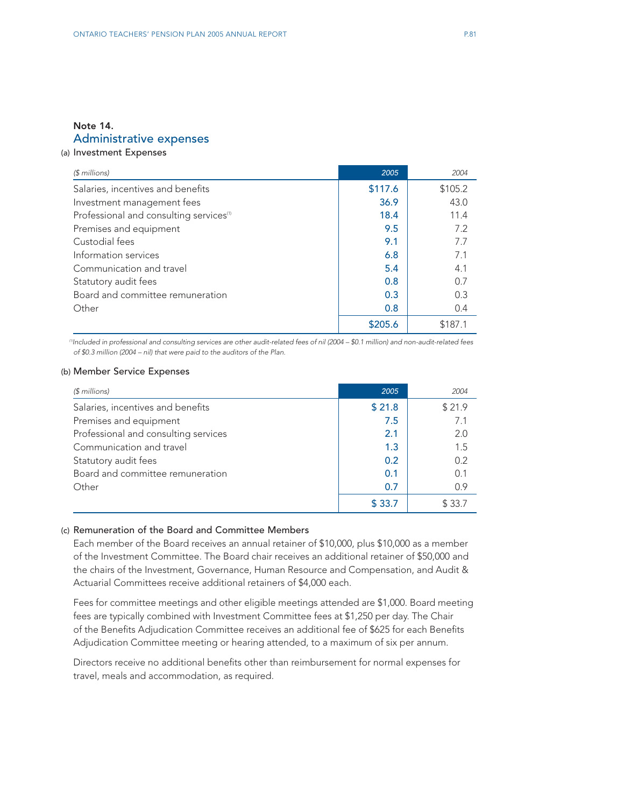# Note 14. Administrative expenses

# (a) Investment Expenses

| $$$ millions)                                       | 2005    | 2004    |
|-----------------------------------------------------|---------|---------|
| Salaries, incentives and benefits                   | \$117.6 | \$105.2 |
| Investment management fees                          | 36.9    | 43.0    |
| Professional and consulting services <sup>(1)</sup> | 18.4    | 11.4    |
| Premises and equipment                              | 9.5     | 7.2     |
| Custodial fees                                      | 9.1     | 7.7     |
| Information services                                | 6.8     | 7.1     |
| Communication and travel                            | 5.4     | 4.1     |
| Statutory audit fees                                | 0.8     | 0.7     |
| Board and committee remuneration                    | 0.3     | 0.3     |
| Other                                               | 0.8     | 0.4     |
|                                                     | \$205.6 | \$187.1 |

*(1)Included in professional and consulting services are other audit-related fees of nil (2004 – \$0.1 million) and non-audit-related fees of \$0.3 million (2004 – nil) that were paid to the auditors of the Plan.*

### (b) Member Service Expenses

| $$$ millions)                        | 2005   | 2004   |
|--------------------------------------|--------|--------|
| Salaries, incentives and benefits    | \$21.8 | \$21.9 |
| Premises and equipment               | 7.5    | 7.1    |
| Professional and consulting services | 2.1    | 2.0    |
| Communication and travel             | 1.3    | 1.5    |
| Statutory audit fees                 | 0.2    | 0.2    |
| Board and committee remuneration     | 0.1    | 0.1    |
| Other                                | 0.7    | 0.9    |
|                                      | \$33.7 | \$33.7 |

# (c) Remuneration of the Board and Committee Members

Each member of the Board receives an annual retainer of \$10,000, plus \$10,000 as a member of the Investment Committee. The Board chair receives an additional retainer of \$50,000 and the chairs of the Investment, Governance, Human Resource and Compensation, and Audit & Actuarial Committees receive additional retainers of \$4,000 each.

Fees for committee meetings and other eligible meetings attended are \$1,000. Board meeting fees are typically combined with Investment Committee fees at \$1,250 per day. The Chair of the Benefits Adjudication Committee receives an additional fee of \$625 for each Benefits Adjudication Committee meeting or hearing attended, to a maximum of six per annum.

Directors receive no additional benefits other than reimbursement for normal expenses for travel, meals and accommodation, as required.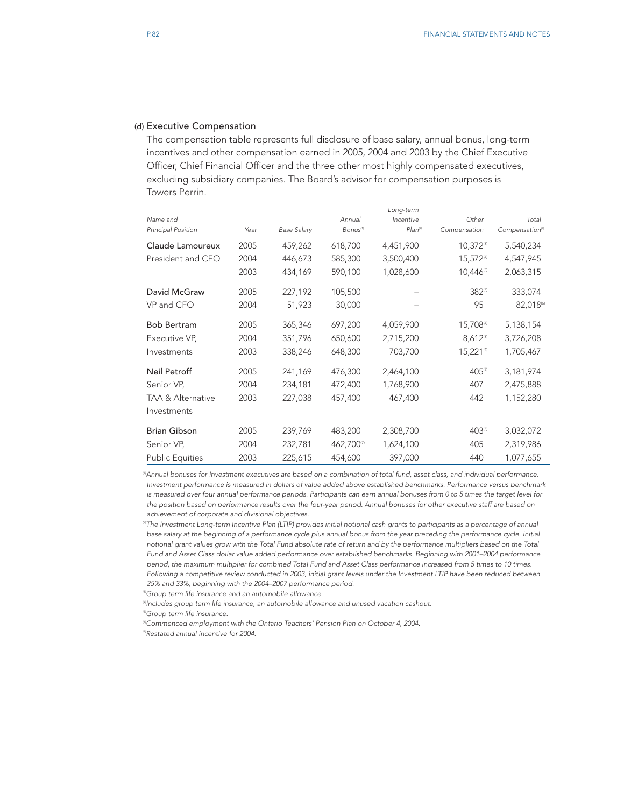#### (d) Executive Compensation

The compensation table represents full disclosure of base salary, annual bonus, long-term incentives and other compensation earned in 2005, 2004 and 2003 by the Chief Executive Officer, Chief Financial Officer and the three other most highly compensated executives, excluding subsidiary companies. The Board's advisor for compensation purposes is Towers Perrin.

|                              |      |                    |                      | Long-term  |                         |                                  |
|------------------------------|------|--------------------|----------------------|------------|-------------------------|----------------------------------|
| Name and                     |      |                    | Annual               | Incentive  | Other                   | Total                            |
| <b>Principal Position</b>    | Year | <b>Base Salary</b> | Bonus <sup>(1)</sup> | $Plan^{2}$ | Compensation            | Compensation <sup><i>m</i></sup> |
| Claude Lamoureux             | 2005 | 459,262            | 618,700              | 4,451,900  | $10,372^{(3)}$          | 5,540,234                        |
| President and CEO            | 2004 | 446,673            | 585,300              | 3,500,400  | 15,572(4)               | 4,547,945                        |
|                              | 2003 | 434,169            | 590,100              | 1,028,600  | $10,446$ <sup>(3)</sup> | 2,063,315                        |
| David McGraw                 | 2005 | 227,192            | 105,500              |            | 382(5)                  | 333,074                          |
| VP and CFO                   | 2004 | 51,923             | 30,000               |            | 95                      | 82,018                           |
| <b>Bob Bertram</b>           | 2005 | 365,346            | 697,200              | 4,059,900  | 15,708(4)               | 5,138,154                        |
| Executive VP,                | 2004 | 351,796            | 650,600              | 2,715,200  | $8,612^{\circ}$         | 3,726,208                        |
| Investments                  | 2003 | 338,246            | 648,300              | 703,700    | $15,221^{(4)}$          | 1,705,467                        |
| Neil Petroff                 | 2005 | 241,169            | 476,300              | 2,464,100  | 405(5)                  | 3,181,974                        |
| Senior VP,                   | 2004 | 234,181            | 472,400              | 1,768,900  | 407                     | 2,475,888                        |
| <b>TAA &amp; Alternative</b> | 2003 | 227,038            | 457,400              | 467,400    | 442                     | 1,152,280                        |
| Investments                  |      |                    |                      |            |                         |                                  |
| <b>Brian Gibson</b>          | 2005 | 239,769            | 483,200              | 2,308,700  | 403(5)                  | 3,032,072                        |
| Senior VP,                   | 2004 | 232,781            | 462,700              | 1,624,100  | 405                     | 2,319,986                        |
| <b>Public Equities</b>       | 2003 | 225,615            | 454,600              | 397,000    | 440                     | 1,077,655                        |

*(1)Annual bonuses for Investment executives are based on a combination of total fund, asset class, and individual performance. Investment performance is measured in dollars of value added above established benchmarks. Performance versus benchmark is measured over four annual performance periods. Participants can earn annual bonuses from 0 to 5 times the target level for the position based on performance results over the four-year period. Annual bonuses for other executive staff are based on achievement of corporate and divisional objectives.*

*(2)The Investment Long-term Incentive Plan (LTIP) provides initial notional cash grants to participants as a percentage of annual base salary at the beginning of a performance cycle plus annual bonus from the year preceding the performance cycle. Initial notional grant values grow with the Total Fund absolute rate of return and by the performance multipliers based on the Total Fund and Asset Class dollar value added performance over established benchmarks. Beginning with 2001–2004 performance period, the maximum multiplier for combined Total Fund and Asset Class performance increased from 5 times to 10 times. Following a competitive review conducted in 2003, initial grant levels under the Investment LTIP have been reduced between 25% and 33%, beginning with the 2004–2007 performance period.* 

*(3)Group term life insurance and an automobile allowance.*

*(4)Includes group term life insurance, an automobile allowance and unused vacation cashout.*

*(5)Group term life insurance.* 

*(6)Commenced employment with the Ontario Teachers' Pension Plan on October 4, 2004.*

*(7)Restated annual incentive for 2004.*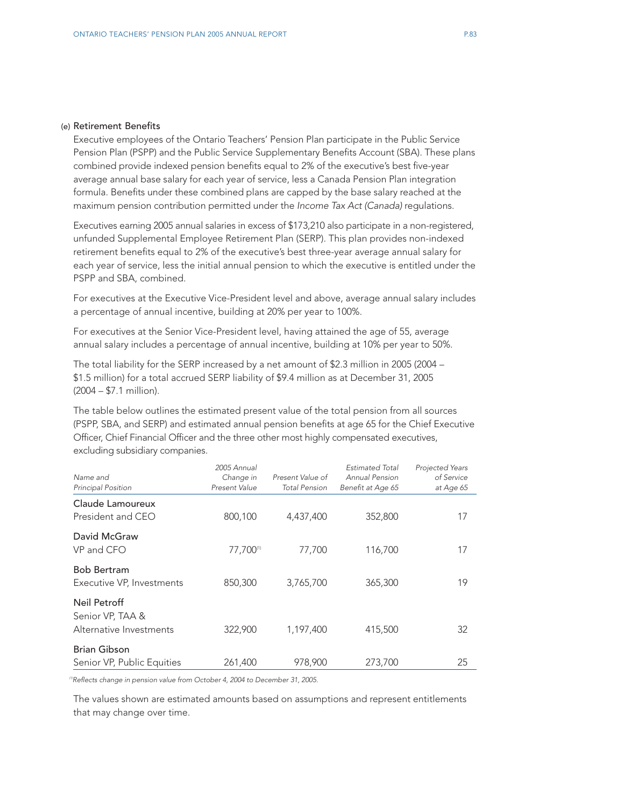#### (e) Retirement Benefits

Executive employees of the Ontario Teachers' Pension Plan participate in the Public Service Pension Plan (PSPP) and the Public Service Supplementary Benefits Account (SBA). These plans combined provide indexed pension benefits equal to 2% of the executive's best five-year average annual base salary for each year of service, less a Canada Pension Plan integration formula. Benefits under these combined plans are capped by the base salary reached at the maximum pension contribution permitted under the *Income Tax Act (Canada)* regulations.

Executives earning 2005 annual salaries in excess of \$173,210 also participate in a non-registered, unfunded Supplemental Employee Retirement Plan (SERP). This plan provides non-indexed retirement benefits equal to 2% of the executive's best three-year average annual salary for each year of service, less the initial annual pension to which the executive is entitled under the PSPP and SBA, combined.

For executives at the Executive Vice-President level and above, average annual salary includes a percentage of annual incentive, building at 20% per year to 100%.

For executives at the Senior Vice-President level, having attained the age of 55, average annual salary includes a percentage of annual incentive, building at 10% per year to 50%.

The total liability for the SERP increased by a net amount of \$2.3 million in 2005 (2004 – \$1.5 million) for a total accrued SERP liability of \$9.4 million as at December 31, 2005 (2004 – \$7.1 million).

The table below outlines the estimated present value of the total pension from all sources (PSPP, SBA, and SERP) and estimated annual pension benefits at age 65 for the Chief Executive Officer, Chief Financial Officer and the three other most highly compensated executives, excluding subsidiary companies.

| Name and<br>Principal Position                              | 2005 Annual<br>Change in<br>Present Value | Present Value of<br><b>Total Pension</b> | <b>Estimated Total</b><br>Annual Pension<br>Benefit at Age 65 | Projected Years<br>of Service<br>at Age 65 |
|-------------------------------------------------------------|-------------------------------------------|------------------------------------------|---------------------------------------------------------------|--------------------------------------------|
| Claude Lamoureux<br>President and CEO                       | 800,100                                   | 4,437,400                                | 352,800                                                       | 17                                         |
| David McGraw<br>VP and CFO                                  | 77,700(1)                                 | 77,700                                   | 116,700                                                       | 17                                         |
| <b>Bob Bertram</b><br>Executive VP, Investments             | 850,300                                   | 3,765,700                                | 365,300                                                       | 19                                         |
| Neil Petroff<br>Senior VP, TAA &<br>Alternative Investments | 322,900                                   | 1,197,400                                | 415,500                                                       | 32                                         |
| <b>Brian Gibson</b><br>Senior VP, Public Equities           | 261,400                                   | 978,900                                  | 273,700                                                       | 25                                         |

<sup>(1)</sup>Reflects change in pension value from October 4, 2004 to December 31, 2005.

The values shown are estimated amounts based on assumptions and represent entitlements that may change over time.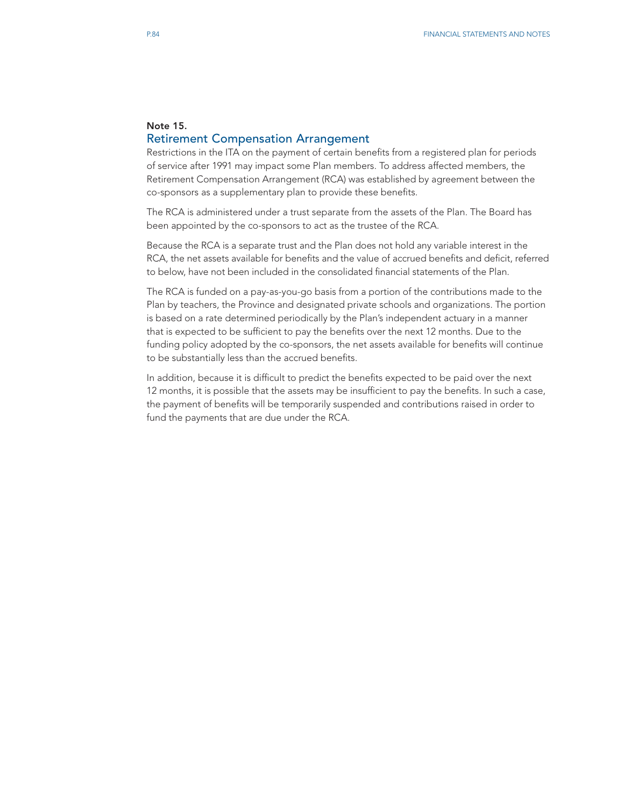# Note 15. Retirement Compensation Arrangement

Restrictions in the ITA on the payment of certain benefits from a registered plan for periods of service after 1991 may impact some Plan members. To address affected members, the Retirement Compensation Arrangement (RCA) was established by agreement between the co-sponsors as a supplementary plan to provide these benefits.

The RCA is administered under a trust separate from the assets of the Plan. The Board has been appointed by the co-sponsors to act as the trustee of the RCA.

Because the RCA is a separate trust and the Plan does not hold any variable interest in the RCA, the net assets available for benefits and the value of accrued benefits and deficit, referred to below, have not been included in the consolidated financial statements of the Plan.

The RCA is funded on a pay-as-you-go basis from a portion of the contributions made to the Plan by teachers, the Province and designated private schools and organizations. The portion is based on a rate determined periodically by the Plan's independent actuary in a manner that is expected to be sufficient to pay the benefits over the next 12 months. Due to the funding policy adopted by the co-sponsors, the net assets available for benefits will continue to be substantially less than the accrued benefits.

In addition, because it is difficult to predict the benefits expected to be paid over the next 12 months, it is possible that the assets may be insufficient to pay the benefits. In such a case, the payment of benefits will be temporarily suspended and contributions raised in order to fund the payments that are due under the RCA.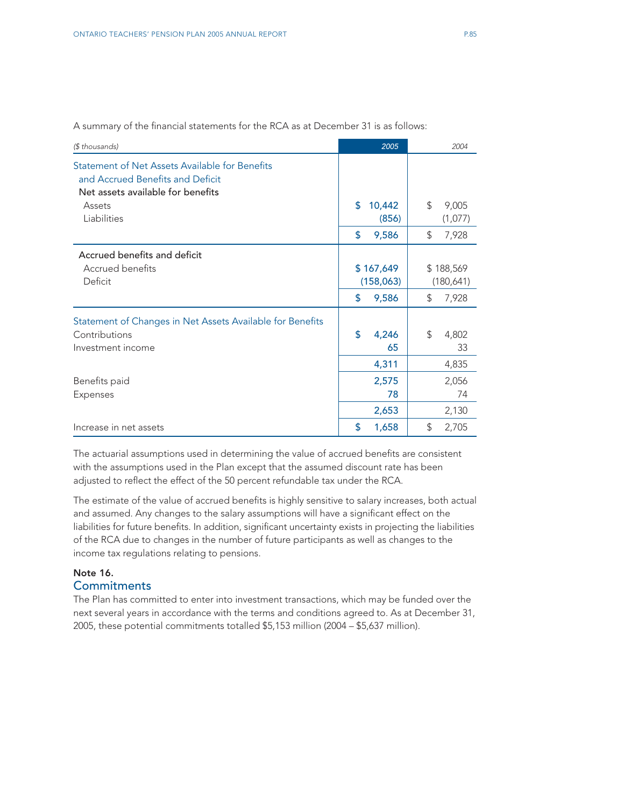| (\$ thousands)                                                                                                                    | 2005                    | 2004                    |
|-----------------------------------------------------------------------------------------------------------------------------------|-------------------------|-------------------------|
| Statement of Net Assets Available for Benefits<br>and Accrued Benefits and Deficit<br>Net assets available for benefits<br>Assets | \$<br>10,442            | \$<br>9,005             |
| Liabilities                                                                                                                       | (856)                   | (1,077)                 |
|                                                                                                                                   | \$<br>9,586             | \$<br>7,928             |
| Accrued benefits and deficit<br>Accrued benefits<br>Deficit                                                                       | \$167,649<br>(158, 063) | \$188,569<br>(180, 641) |
|                                                                                                                                   | \$<br>9,586             | \$<br>7,928             |
| Statement of Changes in Net Assets Available for Benefits<br>Contributions<br>Investment income                                   | \$<br>4,246<br>65       | \$<br>4,802<br>33       |
|                                                                                                                                   | 4,311                   | 4,835                   |
| Benefits paid<br>Expenses                                                                                                         | 2,575<br>78             | 2,056<br>74             |
|                                                                                                                                   | 2,653                   | 2,130                   |
| Increase in net assets                                                                                                            | 1,658<br>S              | \$<br>2,705             |

A summary of the financial statements for the RCA as at December 31 is as follows:

The actuarial assumptions used in determining the value of accrued benefits are consistent with the assumptions used in the Plan except that the assumed discount rate has been adjusted to reflect the effect of the 50 percent refundable tax under the RCA.

The estimate of the value of accrued benefits is highly sensitive to salary increases, both actual and assumed. Any changes to the salary assumptions will have a significant effect on the liabilities for future benefits. In addition, significant uncertainty exists in projecting the liabilities of the RCA due to changes in the number of future participants as well as changes to the income tax regulations relating to pensions.

# Note 16. **Commitments**

The Plan has committed to enter into investment transactions, which may be funded over the next several years in accordance with the terms and conditions agreed to. As at December 31, 2005, these potential commitments totalled \$5,153 million (2004 – \$5,637 million).